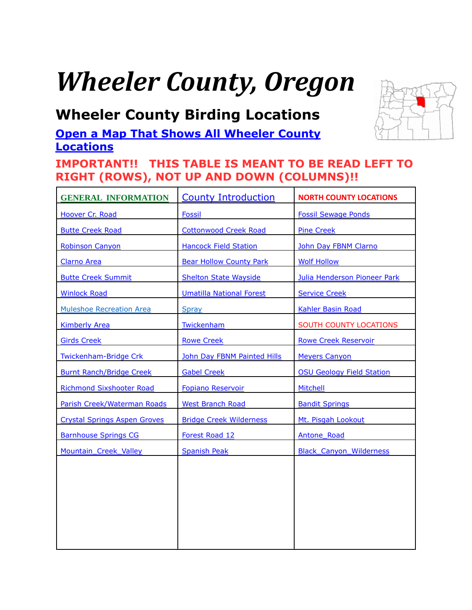# *Wheeler County, Oregon*

## <span id="page-0-0"></span>**Wheeler County Birding Locations**

### **[Open a Map That Shows All Wheeler County](https://www.google.com/maps/d/edit?mid=zVl1oTDALjf4.kNGyHsRTmuIs&usp=sharing)  [Locations](https://www.google.com/maps/d/edit?mid=zVl1oTDALjf4.kNGyHsRTmuIs&usp=sharing)**

### **IMPORTANT!! THIS TABLE IS MEANT TO BE READ LEFT TO RIGHT (ROWS), NOT UP AND DOWN (COLUMNS)!!**

| <b>GENERAL INFORMATION</b>          | <b>County Introduction</b>      | <b>NORTH COUNTY LOCATIONS</b>    |
|-------------------------------------|---------------------------------|----------------------------------|
| Hoover Cr. Road                     | <b>Fossil</b>                   | <b>Fossil Sewage Ponds</b>       |
| <b>Butte Creek Road</b>             | <b>Cottonwood Creek Road</b>    | <b>Pine Creek</b>                |
| <b>Robinson Canyon</b>              | <b>Hancock Field Station</b>    | John Day FBNM Clarno             |
| <b>Clarno Area</b>                  | <b>Bear Hollow County Park</b>  | <b>Wolf Hollow</b>               |
| <b>Butte Creek Summit</b>           | <b>Shelton State Wayside</b>    | Julia Henderson Pioneer Park     |
| <b>Winlock Road</b>                 | <b>Umatilla National Forest</b> | <b>Service Creek</b>             |
| <b>Muleshoe Recreation Area</b>     | Spray                           | <b>Kahler Basin Road</b>         |
| <b>Kimberly Area</b>                | Twickenham                      | SOUTH COUNTY LOCATIONS           |
| <b>Girds Creek</b>                  | <b>Rowe Creek</b>               | <b>Rowe Creek Reservoir</b>      |
| Twickenham-Bridge Crk               | John Day FBNM Painted Hills     | <b>Meyers Canyon</b>             |
| <b>Burnt Ranch/Bridge Creek</b>     | <b>Gabel Creek</b>              | <b>OSU Geology Field Station</b> |
| <b>Richmond Sixshooter Road</b>     | <b>Fopiano Reservoir</b>        | Mitchell                         |
| Parish Creek/Waterman Roads         | <b>West Branch Road</b>         | <b>Bandit Springs</b>            |
| <b>Crystal Springs Aspen Groves</b> | <b>Bridge Creek Wilderness</b>  | Mt. Pisgah Lookout               |
| <b>Barnhouse Springs CG</b>         | Forest Road 12                  | <b>Antone Road</b>               |
| Mountain Creek Valley               | <b>Spanish Peak</b>             | <b>Black Canyon Wilderness</b>   |
|                                     |                                 |                                  |
|                                     |                                 |                                  |
|                                     |                                 |                                  |
|                                     |                                 |                                  |
|                                     |                                 |                                  |
|                                     |                                 |                                  |

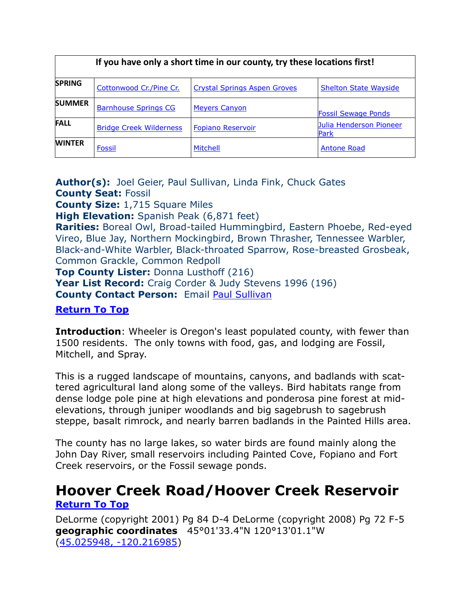| If you have only a short time in our county, try these locations first! |                                |                                     |                                 |  |
|-------------------------------------------------------------------------|--------------------------------|-------------------------------------|---------------------------------|--|
| <b>SPRING</b>                                                           | Cottonwood Cr./Pine Cr.        | <b>Crystal Springs Aspen Groves</b> | <b>Shelton State Wayside</b>    |  |
| <b>SUMMER</b>                                                           | <b>Barnhouse Springs CG</b>    | <b>Meyers Canyon</b>                | <b>Fossil Sewage Ponds</b>      |  |
| <b>FALL</b>                                                             | <b>Bridge Creek Wilderness</b> | <b>Fopiano Reservoir</b>            | Julia Henderson Pioneer<br>Park |  |
| <b>WINTER</b>                                                           | <b>Fossil</b>                  | <b>Mitchell</b>                     | <b>Antone Road</b>              |  |

**Author(s):** Joel Geier, Paul Sullivan, Linda Fink, Chuck Gates **County Seat:** Fossil

**County Size:** 1,715 Square Miles

**High Elevation:** Spanish Peak (6,871 feet)

**Rarities:** Boreal Owl, Broad-tailed Hummingbird, Eastern Phoebe, Red-eyed Vireo, Blue Jay, Northern Mockingbird, Brown Thrasher, Tennessee Warbler, Black-and-White Warbler, Black-throated Sparrow, Rose-breasted Grosbeak, Common Grackle, Common Redpoll

**Top County Lister:** Donna Lusthoff (216) **Year List Record:** Craig Corder & Judy Stevens 1996 (196) **County Contact Person:** Email [Paul Sullivan](mailto:paultsullivan@onlinenw.com)

### **[Return To Top](#page-0-0)**

<span id="page-1-0"></span>**Introduction**: Wheeler is Oregon's least populated county, with fewer than 1500 residents. The only towns with food, gas, and lodging are Fossil, Mitchell, and Spray.

This is a rugged landscape of mountains, canyons, and badlands with scattered agricultural land along some of the valleys. Bird habitats range from dense lodge pole pine at high elevations and ponderosa pine forest at midelevations, through juniper woodlands and big sagebrush to sagebrush steppe, basalt rimrock, and nearly barren badlands in the Painted Hills area.

The county has no large lakes, so water birds are found mainly along the John Day River, small reservoirs including Painted Cove, Fopiano and Fort Creek reservoirs, or the Fossil sewage ponds.

### <span id="page-1-1"></span>**Hoover Creek Road/Hoover Creek Reservoir [Return To Top](#page-0-0)**

DeLorme (copyright 2001) Pg 84 D-4 DeLorme (copyright 2008) Pg 72 F-5 **geographic coordinates** 45°01'33.4"N 120°13'01.1"W [\(45.025948, -120.216985\)](https://www.google.com/maps/place/45°01)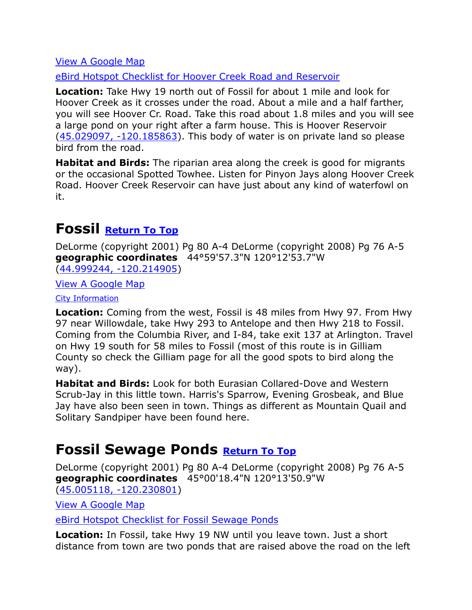[eBird Hotspot Checklist for Hoover Creek Road and Reservoir](http://ebird.org/ebird/hotspot/L2800035?yr=all&m=&rank=mrec)

**Location:** Take Hwy 19 north out of Fossil for about 1 mile and look for Hoover Creek as it crosses under the road. About a mile and a half farther, you will see Hoover Cr. Road. Take this road about 1.8 miles and you will see a large pond on your right after a farm house. This is Hoover Reservoir [\(45.029097, -120.185863\)](https://www.google.com/maps/place/45°01). This body of water is on private land so please bird from the road.

**Habitat and Birds:** The riparian area along the creek is good for migrants or the occasional Spotted Towhee. Listen for Pinyon Jays along Hoover Creek Road. Hoover Creek Reservoir can have just about any kind of waterfowl on it.

## <span id="page-2-0"></span>**Fossil [Return To Top](#page-0-0)**

DeLorme (copyright 2001) Pg 80 A-4 DeLorme (copyright 2008) Pg 76 A-5 **geographic coordinates** 44°59'57.3"N 120°12'53.7"W [\(44.999244, -120.214905\)](https://www.google.com/maps/place/44°59)

[View A Google Map](http://maps.google.com/maps/ms?hl=en&ie=UTF8&msa=0&msid=108036481085398338899.00046f8f40f9f20651838&ll=45.001527,-120.215578&spn=0.052133,0.13175&z=14)

### [City Information](http://www.citytowninfo.com/places/oregon/fossil)

**Location:** Coming from the west, Fossil is 48 miles from Hwy 97. From Hwy 97 near Willowdale, take Hwy 293 to Antelope and then Hwy 218 to Fossil. Coming from the Columbia River, and I-84, take exit 137 at Arlington. Travel on Hwy 19 south for 58 miles to Fossil (most of this route is in Gilliam County so check the Gilliam page for all the good spots to bird along the way).

**Habitat and Birds:** Look for both Eurasian Collared-Dove and Western Scrub-Jay in this little town. Harris's Sparrow, Evening Grosbeak, and Blue Jay have also been seen in town. Things as different as Mountain Quail and Solitary Sandpiper have been found here.

### <span id="page-2-1"></span>**Fossil Sewage Ponds [Return To Top](#page-0-0)**

DeLorme (copyright 2001) Pg 80 A-4 DeLorme (copyright 2008) Pg 76 A-5 **geographic coordinates** 45°00'18.4"N 120°13'50.9"W [\(45.005118, -120.230801\)](https://www.google.com/maps/place/45°00)

[View A Google Map](http://maps.google.com/maps/ms?hl=en&ie=UTF8&msa=0&msid=108036481085398338899.00046f8f40f9f20651838&ll=45.001527,-120.215578&spn=0.052133,0.13175&z=14)

[eBird Hotspot Checklist for Fossil Sewage Ponds](http://ebird.org/ebird/hotspot/L1661839?yr=all&m=&rank=mrec)

**Location:** In Fossil, take Hwy 19 NW until you leave town. Just a short distance from town are two ponds that are raised above the road on the left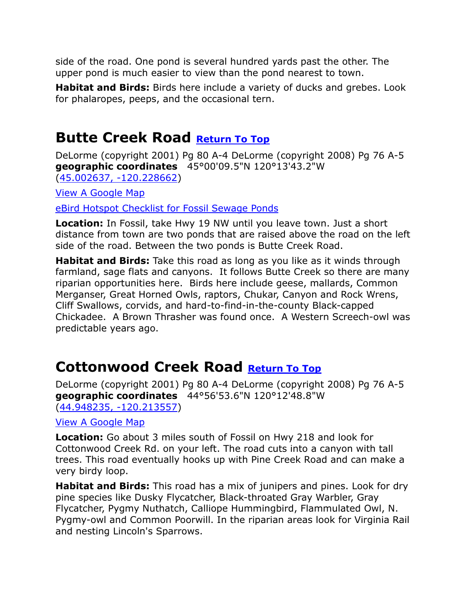side of the road. One pond is several hundred yards past the other. The upper pond is much easier to view than the pond nearest to town.

**Habitat and Birds:** Birds here include a variety of ducks and grebes. Look for phalaropes, peeps, and the occasional tern.

## <span id="page-3-0"></span>**Butte Creek Road [Return To Top](#page-0-0)**

DeLorme (copyright 2001) Pg 80 A-4 DeLorme (copyright 2008) Pg 76 A-5 **geographic coordinates** 45°00'09.5"N 120°13'43.2"W [\(45.002637, -120.228662\)](https://www.google.com/maps/place/45°00)

[View A Google Map](http://maps.google.com/maps/ms?hl=en&ie=UTF8&msa=0&msid=108036481085398338899.00046f8f40f9f20651838&ll=45.001527,-120.215578&spn=0.052133,0.13175&z=14)

[eBird Hotspot Checklist for Fossil Sewage Ponds](http://ebird.org/ebird/hotspot/L1661839?yr=all&m=&rank=mrec)

**Location:** In Fossil, take Hwy 19 NW until you leave town. Just a short distance from town are two ponds that are raised above the road on the left side of the road. Between the two ponds is Butte Creek Road.

**Habitat and Birds:** Take this road as long as you like as it winds through farmland, sage flats and canyons. It follows Butte Creek so there are many riparian opportunities here. Birds here include geese, mallards, Common Merganser, Great Horned Owls, raptors, Chukar, Canyon and Rock Wrens, Cliff Swallows, corvids, and hard-to-find-in-the-county Black-capped Chickadee. A Brown Thrasher was found once. A Western Screech-owl was predictable years ago.

## <span id="page-3-1"></span>**Cottonwood Creek Road [Return To Top](#page-0-0)**

DeLorme (copyright 2001) Pg 80 A-4 DeLorme (copyright 2008) Pg 76 A-5 **geographic coordinates** 44°56'53.6"N 120°12'48.8"W [\(44.948235, -120.213557\)](https://www.google.com/maps/place/44°56)

### [View A Google Map](http://maps.google.com/maps/ms?hl=en&ie=UTF8&msa=0&msid=108036481085398338899.00046f8f633204a9f0da3&ll=44.922029,-120.28553&spn=0.417637,1.054001&z=11)

**Location:** Go about 3 miles south of Fossil on Hwy 218 and look for Cottonwood Creek Rd. on your left. The road cuts into a canyon with tall trees. This road eventually hooks up with Pine Creek Road and can make a very birdy loop.

**Habitat and Birds:** This road has a mix of junipers and pines. Look for dry pine species like Dusky Flycatcher, Black-throated Gray Warbler, Gray Flycatcher, Pygmy Nuthatch, Calliope Hummingbird, Flammulated Owl, N. Pygmy-owl and Common Poorwill. In the riparian areas look for Virginia Rail and nesting Lincoln's Sparrows.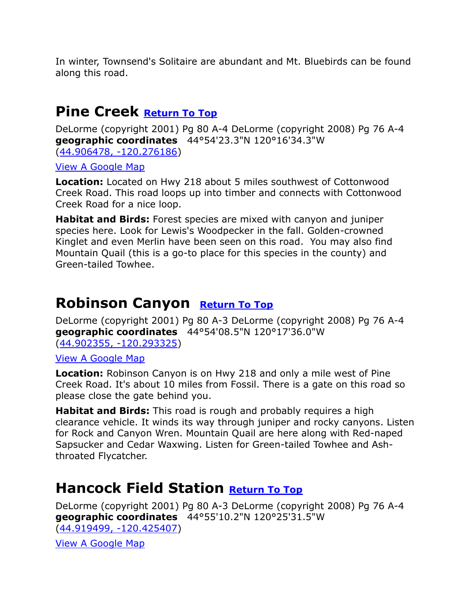In winter, Townsend's Solitaire are abundant and Mt. Bluebirds can be found along this road.

## <span id="page-4-0"></span>**Pine Creek [Return To Top](#page-0-0)**

DeLorme (copyright 2001) Pg 80 A-4 DeLorme (copyright 2008) Pg 76 A-4 **geographic coordinates** 44°54'23.3"N 120°16'34.3"W [\(44.906478, -120.276186\)](https://www.google.com/maps/place/44°54)

[View A Google Map](http://maps.google.com/maps/ms?hl=en&ie=UTF8&msa=0&msid=108036481085398338899.00046f8f633204a9f0da3&ll=44.922029,-120.28553&spn=0.417637,1.054001&z=11)

**Location:** Located on Hwy 218 about 5 miles southwest of Cottonwood Creek Road. This road loops up into timber and connects with Cottonwood Creek Road for a nice loop.

**Habitat and Birds:** Forest species are mixed with canyon and juniper species here. Look for Lewis's Woodpecker in the fall. Golden-crowned Kinglet and even Merlin have been seen on this road. You may also find Mountain Quail (this is a go-to place for this species in the county) and Green-tailed Towhee.

## <span id="page-4-1"></span>**Robinson Canyon [Return To Top](#page-0-0)**

DeLorme (copyright 2001) Pg 80 A-3 DeLorme (copyright 2008) Pg 76 A-4 **geographic coordinates** 44°54'08.5"N 120°17'36.0"W [\(44.902355, -120.293325\)](https://www.google.com/maps/place/44°54)

[View A Google Map](http://maps.google.com/maps/ms?hl=en&ie=UTF8&msa=0&msid=108036481085398338899.00046f8f633204a9f0da3&ll=44.922029,-120.28553&spn=0.417637,1.054001&z=11)

**Location:** Robinson Canyon is on Hwy 218 and only a mile west of Pine Creek Road. It's about 10 miles from Fossil. There is a gate on this road so please close the gate behind you.

**Habitat and Birds:** This road is rough and probably requires a high clearance vehicle. It winds its way through juniper and rocky canyons. Listen for Rock and Canyon Wren. Mountain Quail are here along with Red-naped Sapsucker and Cedar Waxwing. Listen for Green-tailed Towhee and Ashthroated Flycatcher.

## <span id="page-4-2"></span>**Hancock Field Station [Return To Top](#page-0-0)**

DeLorme (copyright 2001) Pg 80 A-3 DeLorme (copyright 2008) Pg 76 A-4 **geographic coordinates** 44°55'10.2"N 120°25'31.5"W [\(44.919499, -120.425407\)](https://www.google.com/maps/place/44°55)

[View A Google Map](http://maps.google.com/maps/ms?hl=en&ie=UTF8&msa=0&msid=108036481085398338899.00046f8f633204a9f0da3&ll=44.922029,-120.28553&spn=0.417637,1.054001&z=11)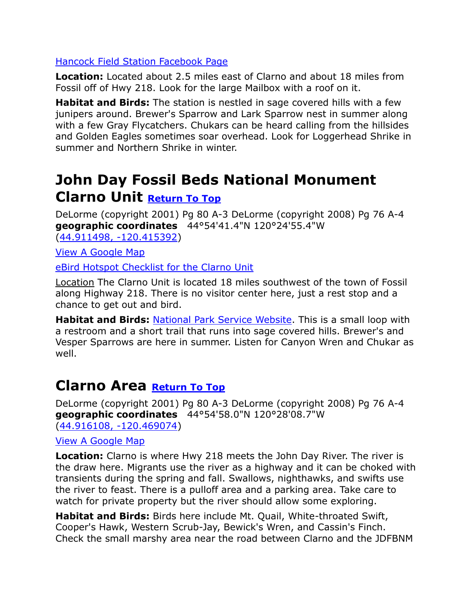### [Hancock Field Station Facebook Page](https://www.facebook.com/pages/Hancock-Field-Station/387143588060926)

**Location:** Located about 2.5 miles east of Clarno and about 18 miles from Fossil off of Hwy 218. Look for the large Mailbox with a roof on it.

**Habitat and Birds:** The station is nestled in sage covered hills with a few junipers around. Brewer's Sparrow and Lark Sparrow nest in summer along with a few Gray Flycatchers. Chukars can be heard calling from the hillsides and Golden Eagles sometimes soar overhead. Look for Loggerhead Shrike in summer and Northern Shrike in winter.

## <span id="page-5-0"></span>**John Day Fossil Beds National Monument Clarno Unit [Return To Top](#page-0-0)**

DeLorme (copyright 2001) Pg 80 A-3 DeLorme (copyright 2008) Pg 76 A-4 **geographic coordinates** 44°54'41.4"N 120°24'55.4"W [\(44.911498, -120.415392\)](https://www.google.com/maps/place/44°54)

[View A Google Map](http://maps.google.com/maps/ms?hl=en&ie=UTF8&msa=0&msid=108036481085398338899.00046f8f633204a9f0da3&ll=44.922029,-120.28553&spn=0.417637,1.054001&z=11)

[eBird Hotspot Checklist for the Clarno Unit](http://ebird.org/ebird/hotspot/L2464165?yr=all&m=&rank=mrec)

Location The Clarno Unit is located 18 miles southwest of the town of Fossil along Highway 218. There is no visitor center here, just a rest stop and a chance to get out and bird.

**Habitat and Birds:** [National Park Service Website.](http://www.nps.gov/joda/clarno_unit.htm) This is a small loop with a restroom and a short trail that runs into sage covered hills. Brewer's and Vesper Sparrows are here in summer. Listen for Canyon Wren and Chukar as well.

### <span id="page-5-1"></span>**Clarno Area [Return To Top](#page-0-0)**

DeLorme (copyright 2001) Pg 80 A-3 DeLorme (copyright 2008) Pg 76 A-4 **geographic coordinates** 44°54'58.0"N 120°28'08.7"W [\(44.916108, -120.469074\)](https://www.google.com/maps/place/44°54)

[View A Google Map](http://maps.google.com/maps/ms?hl=en&ie=UTF8&msa=0&msid=108036481085398338899.00046f8f633204a9f0da3&ll=44.922029,-120.28553&spn=0.417637,1.054001&z=11)

**Location:** Clarno is where Hwy 218 meets the John Day River. The river is the draw here. Migrants use the river as a highway and it can be choked with transients during the spring and fall. Swallows, nighthawks, and swifts use the river to feast. There is a pulloff area and a parking area. Take care to watch for private property but the river should allow some exploring.

**Habitat and Birds:** Birds here include Mt. Quail, White-throated Swift, Cooper's Hawk, Western Scrub-Jay, Bewick's Wren, and Cassin's Finch. Check the small marshy area near the road between Clarno and the JDFBNM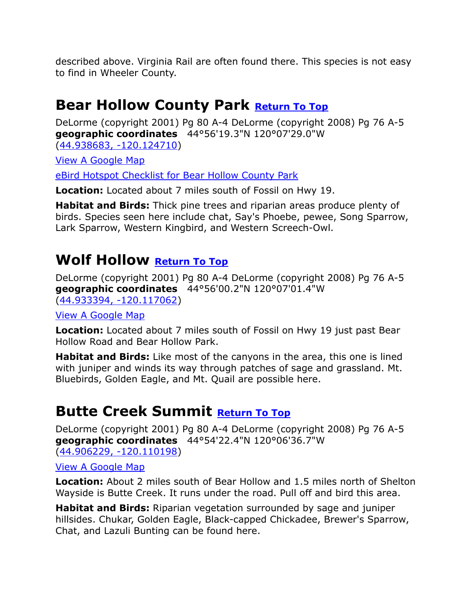described above. Virginia Rail are often found there. This species is not easy to find in Wheeler County.

### <span id="page-6-0"></span>**Bear Hollow County Park [Return To Top](#page-0-0)**

DeLorme (copyright 2001) Pg 80 A-4 DeLorme (copyright 2008) Pg 76 A-5 **geographic coordinates** 44°56'19.3"N 120°07'29.0"W [\(44.938683, -120.124710\)](https://www.google.com/maps/place/44°56)

[View A Google Map](http://maps.google.com/maps/ms?hl=en&ie=UTF8&msa=0&ll=44.940501,-120.035248&spn=0.185422,0.528374&z=12&msid=108036481085398338899.00046f917e4cd289c09f7)

[eBird Hotspot Checklist for Bear Hollow County Park](http://ebird.org/ebird/hotspot/L2404908?yr=all&m=&rank=mrec)

**Location:** Located about 7 miles south of Fossil on Hwy 19.

**Habitat and Birds:** Thick pine trees and riparian areas produce plenty of birds. Species seen here include chat, Say's Phoebe, pewee, Song Sparrow, Lark Sparrow, Western Kingbird, and Western Screech-Owl.

### <span id="page-6-1"></span>**Wolf Hollow [Return To Top](#page-0-0)**

DeLorme (copyright 2001) Pg 80 A-4 DeLorme (copyright 2008) Pg 76 A-5 **geographic coordinates** 44°56'00.2"N 120°07'01.4"W [\(44.933394, -120.117062\)](https://www.google.com/maps/place/44°56)

[View A Google Map](http://maps.google.com/maps/ms?hl=en&ie=UTF8&msa=0&ll=44.940501,-120.035248&spn=0.185422,0.528374&z=12&msid=108036481085398338899.00046f917e4cd289c09f7)

**Location:** Located about 7 miles south of Fossil on Hwy 19 just past Bear Hollow Road and Bear Hollow Park.

**Habitat and Birds:** Like most of the canyons in the area, this one is lined with juniper and winds its way through patches of sage and grassland. Mt. Bluebirds, Golden Eagle, and Mt. Quail are possible here.

## <span id="page-6-2"></span>**Butte Creek Summit [Return To Top](#page-0-0)**

DeLorme (copyright 2001) Pg 80 A-4 DeLorme (copyright 2008) Pg 76 A-5 **geographic coordinates** 44°54'22.4"N 120°06'36.7"W [\(44.906229, -120.110198\)](https://www.google.com/maps/place/44°54)

### [View A Google Map](http://maps.google.com/maps/ms?hl=en&ie=UTF8&msa=0&ll=44.940501,-120.035248&spn=0.185422,0.528374&z=12&msid=108036481085398338899.00046f917e4cd289c09f7)

**Location:** About 2 miles south of Bear Hollow and 1.5 miles north of Shelton Wayside is Butte Creek. It runs under the road. Pull off and bird this area.

**Habitat and Birds:** Riparian vegetation surrounded by sage and juniper hillsides. Chukar, Golden Eagle, Black-capped Chickadee, Brewer's Sparrow, Chat, and Lazuli Bunting can be found here.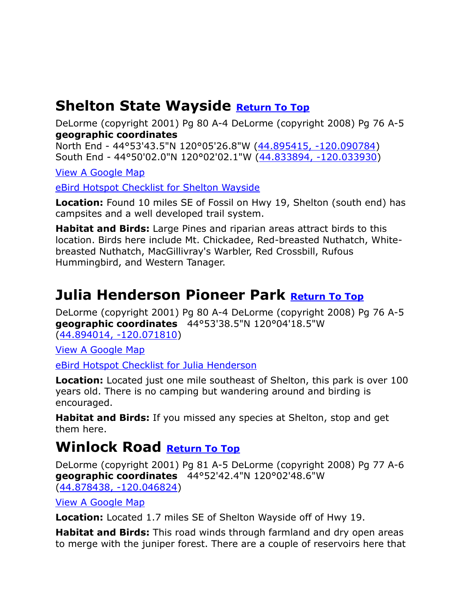## <span id="page-7-0"></span>**Shelton State Wayside [Return To Top](#page-0-0)**

DeLorme (copyright 2001) Pg 80 A-4 DeLorme (copyright 2008) Pg 76 A-5 **geographic coordinates**

North End - 44°53'43.5"N 120°05'26.8"W [\(44.895415, -120.090784\)](https://www.google.com/maps/place/44°53) South End - 44°50'02.0"N 120°02'02.1"W [\(44.833894, -120.033930\)](https://www.google.com/maps/place/44°50)

[View A Google Map](http://maps.google.com/maps/ms?hl=en&ie=UTF8&msa=0&ll=44.940501,-120.035248&spn=0.185422,0.528374&z=12&msid=108036481085398338899.00046f917e4cd289c09f7)

[eBird Hotspot Checklist for Shelton Wayside](http://ebird.org/ebird/hotspot/L1625176?yr=all&m=&rank=mrec)

**Location:** Found 10 miles SE of Fossil on Hwy 19, Shelton (south end) has campsites and a well developed trail system.

**Habitat and Birds:** Large Pines and riparian areas attract birds to this location. Birds here include Mt. Chickadee, Red-breasted Nuthatch, Whitebreasted Nuthatch, MacGillivray's Warbler, Red Crossbill, Rufous Hummingbird, and Western Tanager.

## <span id="page-7-1"></span>**Julia Henderson Pioneer Park [Return To Top](#page-0-0)**

DeLorme (copyright 2001) Pg 80 A-4 DeLorme (copyright 2008) Pg 76 A-5 **geographic coordinates** 44°53'38.5"N 120°04'18.5"W [\(44.894014, -120.071810\)](https://www.google.com/maps/place/44°53)

[View A Google Map](http://maps.google.com/maps/ms?hl=en&ie=UTF8&msa=0&ll=44.940501,-120.035248&spn=0.185422,0.528374&z=12&msid=108036481085398338899.00046f917e4cd289c09f7)

[eBird Hotspot Checklist for Julia Henderson](http://ebird.org/ebird/hotspot/L2195364?yr=all&m=&rank=mrec)

**Location:** Located just one mile southeast of Shelton, this park is over 100 years old. There is no camping but wandering around and birding is encouraged.

**Habitat and Birds:** If you missed any species at Shelton, stop and get them here.

### <span id="page-7-2"></span>**Winlock Road [Return To Top](#page-0-0)**

DeLorme (copyright 2001) Pg 81 A-5 DeLorme (copyright 2008) Pg 77 A-6 **geographic coordinates** 44°52'42.4"N 120°02'48.6"W [\(44.878438, -120.046824\)](https://www.google.com/maps/place/44°52)

[View A Google Map](http://maps.google.com/maps/ms?hl=en&ie=UTF8&msa=0&msid=108036481085398338899.00046f91d9de8567a1321&ll=44.88458,-119.934311&spn=0.417909,1.054001&z=11)

**Location:** Located 1.7 miles SE of Shelton Wayside off of Hwy 19.

**Habitat and Birds:** This road winds through farmland and dry open areas to merge with the juniper forest. There are a couple of reservoirs here that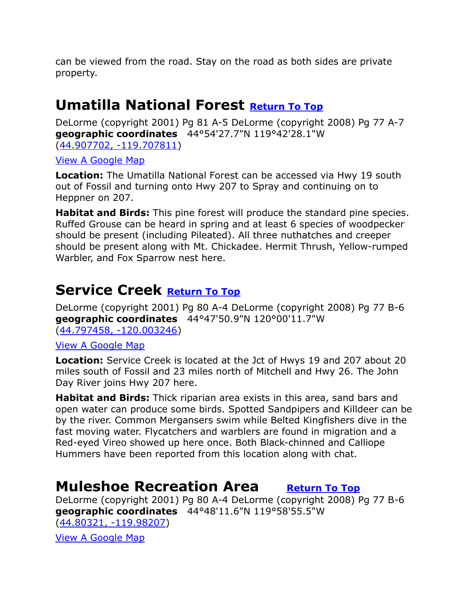can be viewed from the road. Stay on the road as both sides are private property.

### <span id="page-8-0"></span>**Umatilla National Forest [Return To Top](#page-0-0)**

DeLorme (copyright 2001) Pg 81 A-5 DeLorme (copyright 2008) Pg 77 A-7 **geographic coordinates** 44°54'27.7"N 119°42'28.1"W [\(44.907702, -119.707811\)](https://www.google.com/maps/place/44°54)

[View A Google Map](http://maps.google.com/maps/ms?hl=en&ie=UTF8&msa=0&msid=108036481085398338899.00046f919f6a499b4966b&ll=44.928349,-119.781189&spn=0.835186,2.108002&z=10)

**Location:** The Umatilla National Forest can be accessed via Hwy 19 south out of Fossil and turning onto Hwy 207 to Spray and continuing on to Heppner on 207.

**Habitat and Birds:** This pine forest will produce the standard pine species. Ruffed Grouse can be heard in spring and at least 6 species of woodpecker should be present (including Pileated). All three nuthatches and creeper should be present along with Mt. Chickadee. Hermit Thrush, Yellow-rumped Warbler, and Fox Sparrow nest here.

## <span id="page-8-1"></span>**Service Creek [Return To Top](#page-0-0)**

DeLorme (copyright 2001) Pg 80 A-4 DeLorme (copyright 2008) Pg 77 B-6 **geographic coordinates** 44°47'50.9"N 120°00'11.7"W [\(44.797458, -120.003246\)](https://www.google.com/maps/place/44°47)

[View A Google Map](http://maps.google.com/maps/ms?hl=en&ie=UTF8&msa=0&msid=108036481085398338899.00046f919f6a499b4966b&ll=44.928349,-119.781189&spn=0.835186,2.108002&z=10)

**Location:** Service Creek is located at the Jct of Hwys 19 and 207 about 20 miles south of Fossil and 23 miles north of Mitchell and Hwy 26. The John Day River joins Hwy 207 here.

**Habitat and Birds:** Thick riparian area exists in this area, sand bars and open water can produce some birds. Spotted Sandpipers and Killdeer can be by the river. Common Mergansers swim while Belted Kingfishers dive in the fast moving water. Flycatchers and warblers are found in migration and a Red-eyed Vireo showed up here once. Both Black-chinned and Calliope Hummers have been reported from this location along with chat.

## <span id="page-8-2"></span>**Muleshoe Recreation Area [Return To Top](#page-0-0)**

DeLorme (copyright 2001) Pg 80 A-4 DeLorme (copyright 2008) Pg 77 B-6 **geographic coordinates** 44°48'11.6"N 119°58'55.5"W [\(44.80321, -119.98207\)](https://www.google.com/maps/place/44°48)

[View A Google Map](http://maps.google.com/maps/ms?hl=en&ie=UTF8&msa=0&msid=108036481085398338899.00046f919f6a499b4966b&ll=44.928349,-119.781189&spn=0.835186,2.108002&z=10)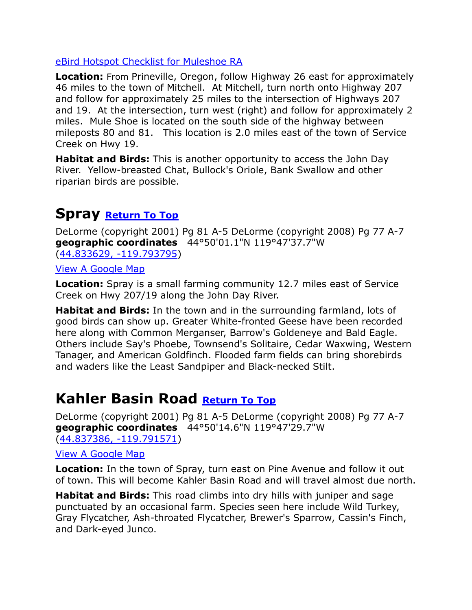### [eBird Hotspot Checklist for Muleshoe RA](http://ebird.org/ebird/hotspot/L2739484?yr=all&m=&rank=mrec)

**Location:** From Prineville, Oregon, follow Highway 26 east for approximately 46 miles to the town of Mitchell. At Mitchell, turn north onto Highway 207 and follow for approximately 25 miles to the intersection of Highways 207 and 19. At the intersection, turn west (right) and follow for approximately 2 miles. Mule Shoe is located on the south side of the highway between mileposts 80 and 81. This location is 2.0 miles east of the town of Service Creek on Hwy 19.

**Habitat and Birds:** This is another opportunity to access the John Day River. Yellow-breasted Chat, Bullock's Oriole, Bank Swallow and other riparian birds are possible.

### <span id="page-9-0"></span>**Spray [Return To Top](#page-0-0)**

DeLorme (copyright 2001) Pg 81 A-5 DeLorme (copyright 2008) Pg 77 A-7 **geographic coordinates** 44°50'01.1"N 119°47'37.7"W [\(44.833629, -119.793795\)](https://www.google.com/maps/place/44°50)

[View A Google Map](http://maps.google.com/maps/ms?hl=en&ie=UTF8&msa=0&msid=108036481085398338899.00046f919f6a499b4966b&ll=44.928349,-119.781189&spn=0.835186,2.108002&z=10)

**Location:** Spray is a small farming community 12.7 miles east of Service Creek on Hwy 207/19 along the John Day River.

**Habitat and Birds:** In the town and in the surrounding farmland, lots of good birds can show up. Greater White-fronted Geese have been recorded here along with Common Merganser, Barrow's Goldeneye and Bald Eagle. Others include Say's Phoebe, Townsend's Solitaire, Cedar Waxwing, Western Tanager, and American Goldfinch. Flooded farm fields can bring shorebirds and waders like the Least Sandpiper and Black-necked Stilt.

## <span id="page-9-1"></span>**Kahler Basin Road <b>[Return To Top](#page-0-0)**

DeLorme (copyright 2001) Pg 81 A-5 DeLorme (copyright 2008) Pg 77 A-7 **geographic coordinates** 44°50'14.6"N 119°47'29.7"W [\(44.837386, -119.791571\)](https://www.google.com/maps/place/44°50)

### [View A Google Map](http://maps.google.com/maps/ms?hl=en&ie=UTF8&msa=0&msid=108036481085398338899.00046f919f6a499b4966b&ll=44.928349,-119.781189&spn=0.835186,2.108002&z=10)

**Location:** In the town of Spray, turn east on Pine Avenue and follow it out of town. This will become Kahler Basin Road and will travel almost due north.

**Habitat and Birds:** This road climbs into dry hills with juniper and sage punctuated by an occasional farm. Species seen here include Wild Turkey, Gray Flycatcher, Ash-throated Flycatcher, Brewer's Sparrow, Cassin's Finch, and Dark-eyed Junco.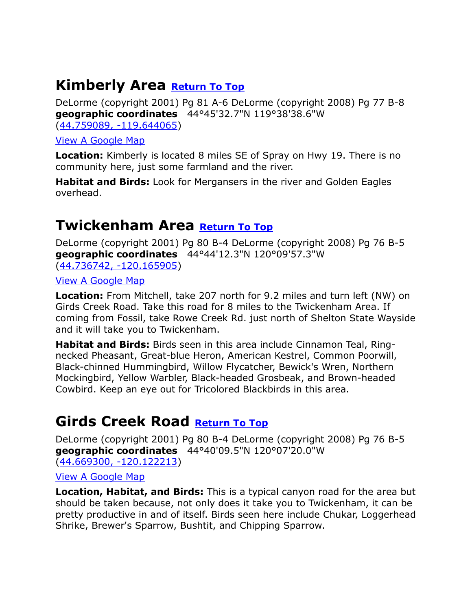## <span id="page-10-0"></span>**Kimberly Area [Return To Top](#page-0-0)**

DeLorme (copyright 2001) Pg 81 A-6 DeLorme (copyright 2008) Pg 77 B-8 **geographic coordinates** 44°45'32.7"N 119°38'38.6"W [\(44.759089, -119.644065\)](https://www.google.com/maps/place/44°45)

[View A Google Map](http://maps.google.com/maps/ms?hl=en&ie=UTF8&msa=0&msid=108036481085398338899.00046f91ffb3ab96257de&ll=44.757461,-119.649353&spn=0.83766,2.108002&z=10)

**Location:** Kimberly is located 8 miles SE of Spray on Hwy 19. There is no community here, just some farmland and the river.

**Habitat and Birds:** Look for Mergansers in the river and Golden Eagles overhead.

### <span id="page-10-1"></span>**Twickenham Area [Return To Top](#page-0-0)**

DeLorme (copyright 2001) Pg 80 B-4 DeLorme (copyright 2008) Pg 76 B-5 **geographic coordinates** 44°44'12.3"N 120°09'57.3"W [\(44.736742, -120.165905\)](https://www.google.com/maps/place/44°44)

[View A Google Map](http://maps.google.com/maps/ms?hl=en&ie=UTF8&msa=0&msid=108036481085398338899.00046f924d3dce76ed71a&ll=44.772574,-120.13464&spn=0.209362,0.527&z=12)

**Location:** From Mitchell, take 207 north for 9.2 miles and turn left (NW) on Girds Creek Road. Take this road for 8 miles to the Twickenham Area. If coming from Fossil, take Rowe Creek Rd. just north of Shelton State Wayside and it will take you to Twickenham.

**Habitat and Birds:** Birds seen in this area include Cinnamon Teal, Ringnecked Pheasant, Great-blue Heron, American Kestrel, Common Poorwill, Black-chinned Hummingbird, Willow Flycatcher, Bewick's Wren, Northern Mockingbird, Yellow Warbler, Black-headed Grosbeak, and Brown-headed Cowbird. Keep an eye out for Tricolored Blackbirds in this area.

### <span id="page-10-2"></span>**Girds Creek Road [Return To Top](#page-0-0)**

DeLorme (copyright 2001) Pg 80 B-4 DeLorme (copyright 2008) Pg 76 B-5 **geographic coordinates** 44°40'09.5"N 120°07'20.0"W [\(44.669300, -120.122213\)](https://www.google.com/maps/place/44°40)

[View A Google Map](http://maps.google.com/maps/ms?hl=en&ie=UTF8&msa=0&msid=108036481085398338899.00046f929e1c2d761f517&ll=44.630551,-120.128632&spn=0.839497,2.108002&z=10)

**Location, Habitat, and Birds:** This is a typical canyon road for the area but should be taken because, not only does it take you to Twickenham, it can be pretty productive in and of itself. Birds seen here include Chukar, Loggerhead Shrike, Brewer's Sparrow, Bushtit, and Chipping Sparrow.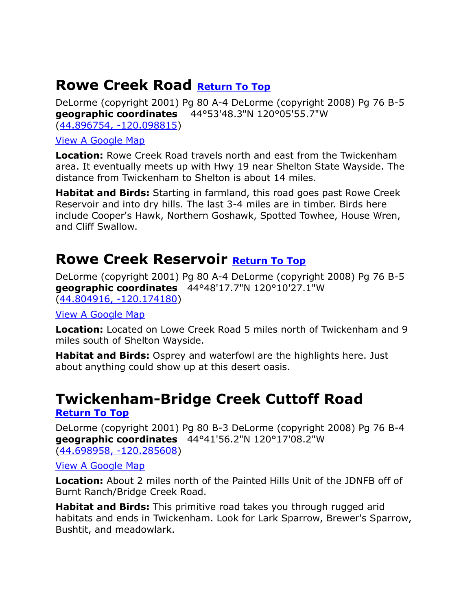### <span id="page-11-0"></span>**Rowe Creek Road [Return To Top](#page-0-0)**

DeLorme (copyright 2001) Pg 80 A-4 DeLorme (copyright 2008) Pg 76 B-5 **geographic coordinates** 44°53'48.3"N 120°05'55.7"W [\(44.896754, -120.098815\)](https://www.google.com/maps/place/44°53)

[View A Google Map](http://maps.google.com/maps/ms?hl=en&ie=UTF8&msa=0&msid=108036481085398338899.00046f924d3dce76ed71a&ll=44.772574,-120.13464&spn=0.209362,0.527&z=12)

**Location:** Rowe Creek Road travels north and east from the Twickenham area. It eventually meets up with Hwy 19 near Shelton State Wayside. The distance from Twickenham to Shelton is about 14 miles.

**Habitat and Birds:** Starting in farmland, this road goes past Rowe Creek Reservoir and into dry hills. The last 3-4 miles are in timber. Birds here include Cooper's Hawk, Northern Goshawk, Spotted Towhee, House Wren, and Cliff Swallow.

### <span id="page-11-1"></span>**Rowe Creek Reservoir [Return To Top](#page-0-0)**

DeLorme (copyright 2001) Pg 80 A-4 DeLorme (copyright 2008) Pg 76 B-5 **geographic coordinates** 44°48'17.7"N 120°10'27.1"W [\(44.804916, -120.174180\)](https://www.google.com/maps/place/44°48)

[View A Google Map](http://maps.google.com/maps/ms?hl=en&ie=UTF8&msa=0&msid=108036481085398338899.00046f924d3dce76ed71a&ll=44.772574,-120.13464&spn=0.209362,0.527&z=12)

**Location:** Located on Lowe Creek Road 5 miles north of Twickenham and 9 miles south of Shelton Wayside.

**Habitat and Birds:** Osprey and waterfowl are the highlights here. Just about anything could show up at this desert oasis.

## <span id="page-11-2"></span>**Twickenham-Bridge Creek Cuttoff Road**

**[Return To Top](#page-0-0)**

DeLorme (copyright 2001) Pg 80 B-3 DeLorme (copyright 2008) Pg 76 B-4 **geographic coordinates** 44°41'56.2"N 120°17'08.2"W [\(44.698958, -120.285608\)](https://www.google.com/maps/place/44°41)

[View A Google Map](http://maps.google.com/maps/ms?hl=en&ie=UTF8&msa=0&msid=108036481085398338899.00046f929e1c2d761f517&ll=44.630551,-120.128632&spn=0.839497,2.108002&z=10)

**Location:** About 2 miles north of the Painted Hills Unit of the JDNFB off of Burnt Ranch/Bridge Creek Road.

**Habitat and Birds:** This primitive road takes you through rugged arid habitats and ends in Twickenham. Look for Lark Sparrow, Brewer's Sparrow, Bushtit, and meadowlark.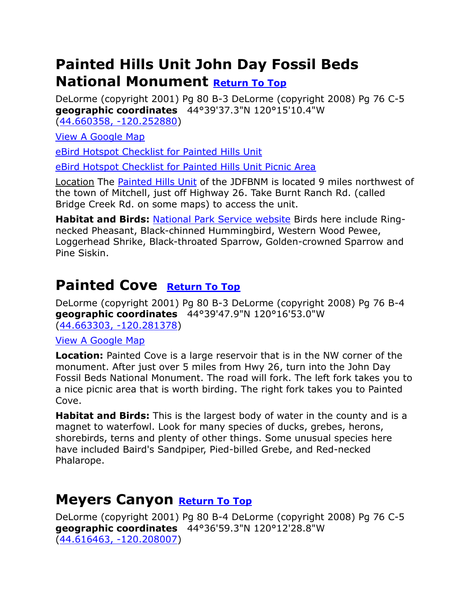## <span id="page-12-0"></span>**Painted Hills Unit John Day Fossil Beds National Monument [Return To Top](#page-0-0)**

DeLorme (copyright 2001) Pg 80 B-3 DeLorme (copyright 2008) Pg 76 C-5 **geographic coordinates** 44°39'37.3"N 120°15'10.4"W [\(44.660358, -120.252880\)](https://www.google.com/maps/place/44°39)

[View A Google Map](http://maps.google.com/maps/ms?hl=en&ie=UTF8&msa=0&msid=108036481085398338899.00046f929e1c2d761f517&ll=44.630551,-120.128632&spn=0.839497,2.108002&z=10)

[eBird Hotspot Checklist for Painted](http://ebird.org/ebird/hotspot/L787451?yr=all&m=&rank=mrec) Hills Unit

[eBird Hotspot Checklist for Painted Hills Unit Picnic Area](http://ebird.org/ebird/hotspot/L3667885?yr=all&m=&rank=mrec)

Location The [Painted Hills Unit](http://www.nps.gov/joda/planyourvisit/painted_hills_unit.htm) of the JDFBNM is located 9 miles northwest of the town of Mitchell, just off Highway 26. Take Burnt Ranch Rd. (called Bridge Creek Rd. on some maps) to access the unit.

**Habitat and Birds:** [National Park Service website](http://www.nps.gov/joda/planyourvisit/painted_hills_unit.htm) Birds here include Ringnecked Pheasant, Black-chinned Hummingbird, Western Wood Pewee, Loggerhead Shrike, Black-throated Sparrow, Golden-crowned Sparrow and Pine Siskin.

## **Painted Cove [Return](#page-0-0) To Top**

DeLorme (copyright 2001) Pg 80 B-3 DeLorme (copyright 2008) Pg 76 B-4 **geographic coordinates** 44°39'47.9"N 120°16'53.0"W [\(44.663303, -120.281378\)](https://www.google.com/maps/place/44°39)

[View A Google Map](http://maps.google.com/maps/ms?hl=en&ie=UTF8&msa=0&msid=108036481085398338899.00046f929e1c2d761f517&ll=44.630551,-120.128632&spn=0.839497,2.108002&z=10)

**Location:** Painted Cove is a large reservoir that is in the NW corner of the monument. After just over 5 miles from Hwy 26, turn into the John Day Fossil Beds National Monument. The road will fork. The left fork takes you to a nice picnic area that is worth birding. The right fork takes you to Painted Cove.

**Habitat and Birds:** This is the largest body of water in the county and is a magnet to waterfowl. Look for many species of ducks, grebes, herons, shorebirds, terns and plenty of other things. Some unusual species here have included Baird's Sandpiper, Pied-billed Grebe, and Red-necked Phalarope.

## <span id="page-12-1"></span>**Meyers Canyon [Return To Top](#page-0-0)**

DeLorme (copyright 2001) Pg 80 B-4 DeLorme (copyright 2008) Pg 76 C-5 **geographic coordinates** 44°36'59.3"N 120°12'28.8"W [\(44.616463, -120.208007\)](https://www.google.com/maps/place/44°36)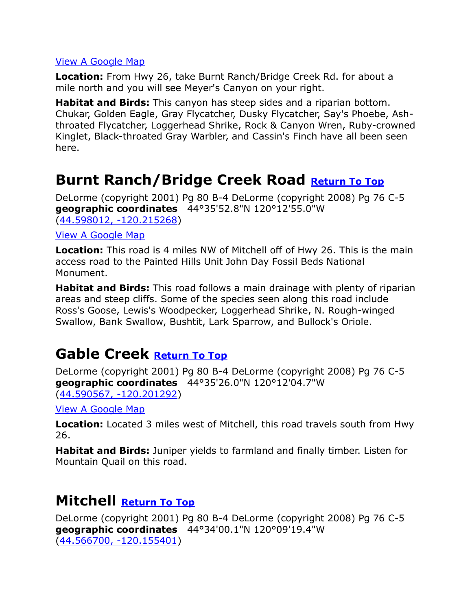**Location:** From Hwy 26, take Burnt Ranch/Bridge Creek Rd. for about a mile north and you will see Meyer's Canyon on your right.

**Habitat and Birds:** This canyon has steep sides and a riparian bottom. Chukar, Golden Eagle, Gray Flycatcher, Dusky Flycatcher, Say's Phoebe, Ashthroated Flycatcher, Loggerhead Shrike, Rock & Canyon Wren, Ruby-crowned Kinglet, Black-throated Gray Warbler, and Cassin's Finch have all been seen here.

### <span id="page-13-0"></span>**Burnt Ranch/Bridge Creek Road [Return To Top](#page-0-0)**

DeLorme (copyright 2001) Pg 80 B-4 DeLorme (copyright 2008) Pg 76 C-5 **geographic coordinates** 44°35'52.8"N 120°12'55.0"W [\(44.598012, -120.215268\)](https://www.google.com/maps/place/44°35)

### [View A Google Map](http://maps.google.com/maps/ms?hl=en&ie=UTF8&msa=0&msid=108036481085398338899.00046f929e1c2d761f517&ll=44.630551,-120.128632&spn=0.839497,2.108002&z=10)

**Location:** This road is 4 miles NW of Mitchell off of Hwy 26. This is the main access road to the Painted Hills Unit John Day Fossil Beds National Monument.

**Habitat and Birds:** This road follows a main drainage with plenty of riparian areas and steep cliffs. Some of the species seen along this road include Ross's Goose, Lewis's Woodpecker, Loggerhead Shrike, N. Rough-winged Swallow, Bank Swallow, Bushtit, Lark Sparrow, and Bullock's Oriole.

### <span id="page-13-1"></span>**Gable Creek [Return To Top](#page-0-0)**

DeLorme (copyright 2001) Pg 80 B-4 DeLorme (copyright 2008) Pg 76 C-5 **geographic coordinates** 44°35'26.0"N 120°12'04.7"W (44.590567, [-120.201292\)](https://www.google.com/maps/place/44°35)

[View A Google Map](http://maps.google.com/maps/ms?hl=en&ie=UTF8&msa=0&msid=108036481085398338899.00046f929e1c2d761f517&ll=44.630551,-120.128632&spn=0.839497,2.108002&z=10)

**Location:** Located 3 miles west of Mitchell, this road travels south from Hwy 26.

**Habitat and Birds:** Juniper yields to farmland and finally timber. Listen for Mountain Quail on this road.

### <span id="page-13-2"></span>**Mitchell [Return To Top](#page-0-0)**

DeLorme (copyright 2001) Pg 80 B-4 DeLorme (copyright 2008) Pg 76 C-5 **geographic coordinates** 44°34'00.1"N 120°09'19.4"W [\(44.566700, -120.155401\)](https://www.google.com/maps/place/44°34)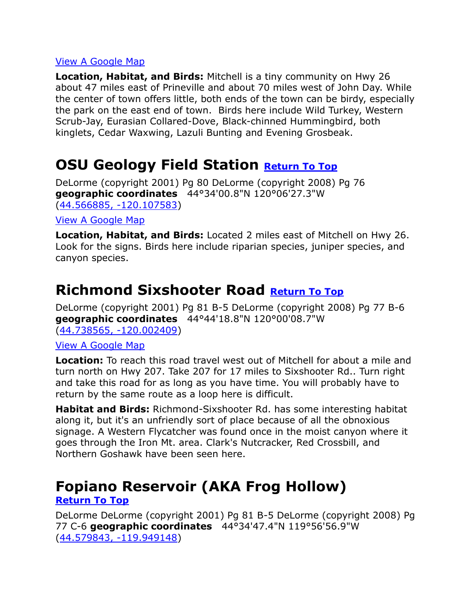**Location, Habitat, and Birds:** Mitchell is a tiny community on Hwy 26 about 47 miles east of Prineville and about 70 miles west of John Day. While the center of town offers little, both ends of the town can be birdy, especially the park on the east end of town. Birds here include Wild Turkey, Western Scrub-Jay, Eurasian Collared-Dove, Black-chinned Hummingbird, both kinglets, Cedar Waxwing, Lazuli Bunting and Evening Grosbeak.

## <span id="page-14-0"></span>**OSU Geology Field Station [Return To Top](#page-0-0)**

DeLorme (copyright 2001) Pg 80 DeLorme (copyright 2008) Pg 76 **geographic coordinates** 44°34'00.8"N 120°06'27.3"W [\(44.566885, -120.107583\)](https://www.google.com/maps/place/44°34)

### [View A Google Map](http://maps.google.com/maps/ms?hl=en&ie=UTF8&msa=0&msid=108036481085398338899.00046f929e1c2d761f517&ll=44.630551,-120.128632&spn=0.839497,2.108002&z=10)

**Location, Habitat, and Birds:** Located 2 miles east of Mitchell on Hwy 26. Look for the signs. Birds here include riparian species, juniper species, and canyon species.

### <span id="page-14-1"></span>**Richmond Sixshooter Road [Return To Top](#page-0-0)**

DeLorme (copyright 2001) Pg 81 B-5 DeLorme (copyright 2008) Pg 77 B-6 **geographic coordinates** 44°44'18.8"N 120°00'08.7"W [\(44.738565, -120.002409\)](https://www.google.com/maps/place/44°44)

#### [View A Google Map](http://maps.google.com/maps/ms?hl=en&ie=UTF8&msa=0&msid=108036481085398338899.00046f92cee08e103b906&ll=44.688183,-119.968643&spn=0.419334,1.054001&z=11)

**Location:** To reach this road travel west out of Mitchell for about a mile and turn north on Hwy 207. Take 207 for 17 miles to Sixshooter Rd.. Turn right and take this road for as long as you have time. You will probably have to return by the same route as a loop here is difficult.

**Habitat and Birds:** Richmond-Sixshooter Rd. has some interesting habitat along it, but it's an unfriendly sort of place because of all the obnoxious signage. A Western Flycatcher was found once in the moist canyon where it goes through the Iron Mt. area. Clark's Nutcracker, Red Crossbill, and Northern Goshawk have been seen here.

## <span id="page-14-2"></span>**Fopiano Reservoir (AKA Frog Hollow)**

### **[Return To Top](#page-0-0)**

DeLorme DeLorme (copyright 2001) Pg 81 B-5 DeLorme (copyright 2008) Pg 77 C-6 **geographic coordinates** 44°34'47.4"N 119°56'56.9"W [\(44.579843, -119.949148\)](https://www.google.com/maps/place/44°34)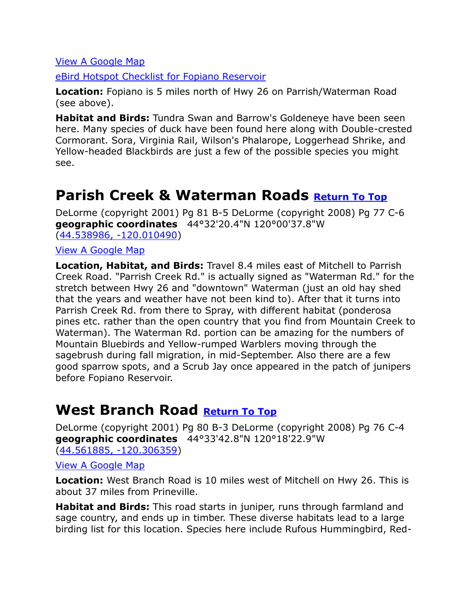[eBird Hotspot Checklist for Fopiano Reservoir](http://ebird.org/ebird/hotspot/L1660157?yr=all&m=&rank=mrec)

**Location:** Fopiano is 5 miles north of Hwy 26 on Parrish/Waterman Road (see above).

**Habitat and Birds:** Tundra Swan and Barrow's Goldeneye have been seen here. Many species of duck have been found here along with Double-crested Cormorant. Sora, Virginia Rail, Wilson's Phalarope, Loggerhead Shrike, and Yellow-headed Blackbirds are just a few of the possible species you might see.

### <span id="page-15-0"></span>**Parish Creek & Waterman Roads [Return To Top](#page-0-0)**

DeLorme (copyright 2001) Pg 81 B-5 DeLorme (copyright 2008) Pg 77 C-6 **geographic coordinates** 44°32'20.4"N 120°00'37.8"W [\(44.538986, -120.010490\)](https://www.google.com/maps/place/44°32)

[View A Google Map](http://maps.google.com/maps/ms?hl=en&ie=UTF8&msa=0&msid=108036481085398338899.00046f92e0e6dee240fe3&ll=44.552925,-119.941349&spn=0.210157,0.527&z=12)

**Location, Habitat, and Birds:** Travel 8.4 miles east of Mitchell to Parrish Creek Road. "Parrish Creek Rd." is actually signed as "Waterman Rd." for the stretch between Hwy 26 and "downtown" Waterman (just an old hay shed that the years and weather have not been kind to). After that it turns into Parrish Creek Rd. from there to Spray, with different habitat (ponderosa pines etc. rather than the open country that you find from Mountain Creek to Waterman). The Waterman Rd. portion can be amazing for the numbers of Mountain Bluebirds and Yellow-rumped Warblers moving through the sagebrush during fall migration, in mid-September. Also there are a few good sparrow spots, and a Scrub Jay once appeared in the patch of junipers before Fopiano Reservoir.

### <span id="page-15-1"></span>**West Branch Road [Return To Top](#page-0-0)**

DeLorme (copyright 2001) Pg 80 B-3 DeLorme (copyright 2008) Pg 76 C-4 **geographic coordinates** 44°33'42.8"N 120°18'22.9"W [\(44.561885, -120.306359\)](https://www.google.com/maps/place/44°33)

[View A Google Map](http://maps.google.com/maps/ms?hl=en&ie=UTF8&msa=0&msid=108036481085398338899.00046f929e1c2d761f517&ll=44.630551,-120.128632&spn=0.839497,2.108002&z=10)

**Location:** West Branch Road is 10 miles west of Mitchell on Hwy 26. This is about 37 miles from Prineville.

**Habitat and Birds:** This road starts in juniper, runs through farmland and sage country, and ends up in timber. These diverse habitats lead to a large birding list for this location. Species here include Rufous Hummingbird, Red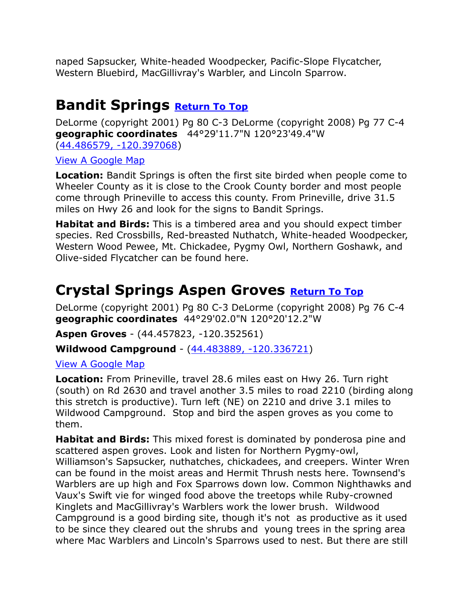naped Sapsucker, White-headed Woodpecker, Pacific-Slope Flycatcher, Western Bluebird, MacGillivray's Warbler, and Lincoln Sparrow.

### <span id="page-16-0"></span>**Bandit Springs [Return To Top](#page-0-0)**

DeLorme (copyright 2001) Pg 80 C-3 DeLorme (copyright 2008) Pg 77 C-4 **geographic coordinates** 44°29'11.7"N 120°23'49.4"W [\(44.486579, -120.397068\)](https://www.google.com/maps/place/44°29)

### [View A Google Map](http://maps.google.com/maps/ms?hl=en&ie=UTF8&msa=0&msid=108036481085398338899.00046f92f298fac8376b5&ll=44.465151,-120.346985&spn=0.420945,1.054001&z=11)

**Location:** Bandit Springs is often the first site birded when people come to Wheeler County as it is close to the Crook County border and most people come through Prineville to access this county. From Prineville, drive 31.5 miles on Hwy 26 and look for the signs to Bandit Springs.

**Habitat and Birds:** This is a timbered area and you should expect timber species. Red Crossbills, Red-breasted Nuthatch, White-headed Woodpecker, Western Wood Pewee, Mt. Chickadee, Pygmy Owl, Northern Goshawk, and Olive-sided Flycatcher can be found here.

## <span id="page-16-1"></span>**Crystal Springs Aspen Groves [Return To Top](#page-0-0)**

DeLorme (copyright 2001) Pg 80 C-3 DeLorme (copyright 2008) Pg 76 C-4 **geographic coordinates** 44°29'02.0"N 120°20'12.2"W

**Aspen Groves** - [\(44.457823, -120.352561\)](https://www.google.com/maps/place/44°27)

**Wildwood Campground** - [\(44.483889, -120.336721\)](https://www.google.com/maps/place/44°29)

### [View A Google Map](http://maps.google.com/maps/ms?hl=en&ie=UTF8&msa=0&msid=108036481085398338899.00046f92f298fac8376b5&ll=44.465151,-120.346985&spn=0.420945,1.054001&z=11)

**Location:** From Prineville, travel 28.6 miles east on Hwy 26. Turn right (south) on Rd 2630 and travel another 3.5 miles to road 2210 (birding along this stretch is productive). Turn left (NE) on 2210 and drive 3.1 miles to Wildwood Campground. Stop and bird the aspen groves as you come to them.

**Habitat and Birds:** This mixed forest is dominated by ponderosa pine and scattered aspen groves. Look and listen for Northern Pygmy-owl, Williamson's Sapsucker, nuthatches, chickadees, and creepers. Winter Wren can be found in the moist areas and Hermit Thrush nests here. Townsend's Warblers are up high and Fox Sparrows down low. Common Nighthawks and Vaux's Swift vie for winged food above the treetops while Ruby-crowned Kinglets and MacGillivray's Warblers work the lower brush. Wildwood Campground is a good birding site, though it's not as productive as it used to be since they cleared out the shrubs and young trees in the spring area where Mac Warblers and Lincoln's Sparrows used to nest. But there are still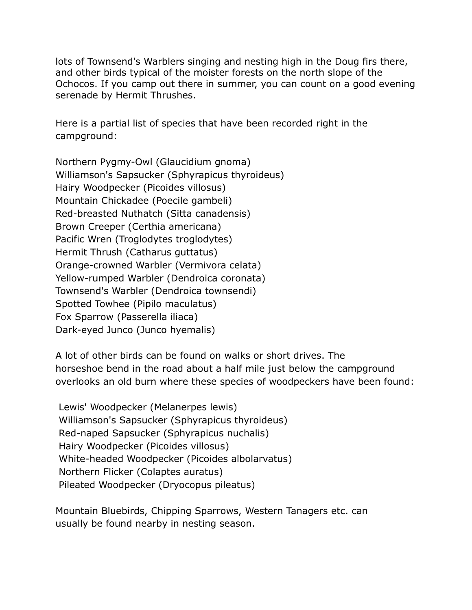lots of Townsend's Warblers singing and nesting high in the Doug firs there, and other birds typical of the moister forests on the north slope of the Ochocos. If you camp out there in summer, you can count on a good evening serenade by Hermit Thrushes.

Here is a partial list of species that have been recorded right in the campground:

Northern Pygmy-Owl (Glaucidium gnoma) Williamson's Sapsucker (Sphyrapicus thyroideus) Hairy Woodpecker (Picoides villosus) Mountain Chickadee (Poecile gambeli) Red-breasted Nuthatch (Sitta canadensis) Brown Creeper (Certhia americana) Pacific Wren (Troglodytes troglodytes) Hermit Thrush (Catharus guttatus) Orange-crowned Warbler (Vermivora celata) Yellow-rumped Warbler (Dendroica coronata) Townsend's Warbler (Dendroica townsendi) Spotted Towhee (Pipilo maculatus) Fox Sparrow (Passerella iliaca) Dark-eyed Junco (Junco hyemalis)

A lot of other birds can be found on walks or short drives. The horseshoe bend in the road about a half mile just below the campground overlooks an old burn where these species of woodpeckers have been found:

Lewis' Woodpecker (Melanerpes lewis) Williamson's Sapsucker (Sphyrapicus thyroideus) Red-naped Sapsucker (Sphyrapicus nuchalis) Hairy Woodpecker (Picoides villosus) White-headed Woodpecker (Picoides albolarvatus) Northern Flicker (Colaptes auratus) Pileated Woodpecker (Dryocopus pileatus)

Mountain Bluebirds, Chipping Sparrows, Western Tanagers etc. can usually be found nearby in nesting season.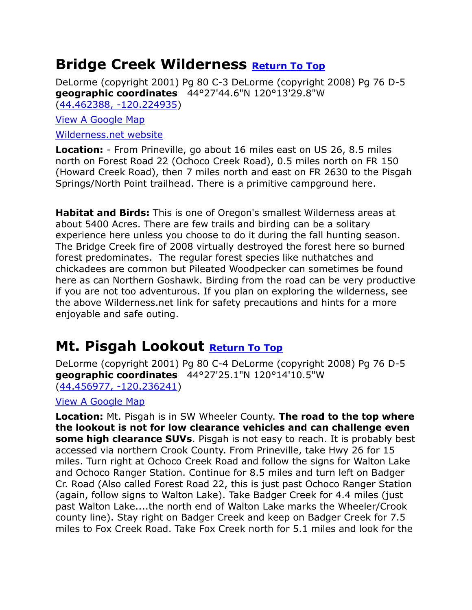### <span id="page-18-0"></span>**Bridge Creek Wilderness [Return To Top](#page-0-0)**

DeLorme (copyright 2001) Pg 80 C-3 DeLorme (copyright 2008) Pg 76 D-5 **geographic coordinates** 44°27'44.6"N 120°13'29.8"W (44.462388, [-120.224935\)](https://www.google.com/maps/place/44°27)

[View A Google Map](http://maps.google.com/maps/ms?hl=en&ie=UTF8&msa=0&msid=108036481085398338899.00046f92f298fac8376b5&ll=44.465151,-120.346985&spn=0.420945,1.054001&z=11)

[Wilderness.net website](http://www.wilderness.net/index.cfm?fuse=NWPS&sec=wildView&WID=77)

**Location:** - From Prineville, go about 16 miles east on US 26, 8.5 miles north on Forest Road 22 (Ochoco Creek Road), 0.5 miles north on FR 150 (Howard Creek Road), then 7 miles north and east on FR 2630 to the Pisgah Springs/North Point trailhead. There is a primitive campground here.

**Habitat and Birds:** This is one of Oregon's smallest Wilderness areas at about 5400 Acres. There are few trails and birding can be a solitary experience here unless you choose to do it during the fall hunting season. The Bridge Creek fire of 2008 virtually destroyed the forest here so burned forest predominates. The regular forest species like nuthatches and chickadees are common but Pileated Woodpecker can sometimes be found here as can Northern Goshawk. Birding from the road can be very productive if you are not too adventurous. If you plan on exploring the wilderness, see the above Wilderness.net link for safety precautions and hints for a more enjoyable and safe outing.

### <span id="page-18-1"></span>**Mt. Pisgah Lookout [Return To Top](#page-0-0)**

DeLorme (copyright 2001) Pg 80 C-4 DeLorme (copyright 2008) Pg 76 D-5 **geographic coordinates** 44°27'25.1"N 120°14'10.5"W [\(44.456977, -120.236241\)](https://www.google.com/maps/place/44°27)

[View A Google Map](http://maps.google.com/maps/ms?hl=en&ie=UTF8&msa=0&msid=108036481085398338899.00046f92f298fac8376b5&ll=44.465151,-120.346985&spn=0.420945,1.054001&z=11)

**Location:** Mt. Pisgah is in SW Wheeler County. **The road to the top where the lookout is not for low clearance vehicles and can challenge even some high clearance SUVs**. Pisgah is not easy to reach. It is probably best accessed via northern Crook County. From Prineville, take Hwy 26 for 15 miles. Turn right at Ochoco Creek Road and follow the signs for Walton Lake and Ochoco Ranger Station. Continue for 8.5 miles and turn left on Badger Cr. Road (Also called Forest Road 22, this is just past Ochoco Ranger Station (again, follow signs to Walton Lake). Take Badger Creek for 4.4 miles (just past Walton Lake....the north end of Walton Lake marks the Wheeler/Crook county line). Stay right on Badger Creek and keep on Badger Creek for 7.5 miles to Fox Creek Road. Take Fox Creek north for 5.1 miles and look for the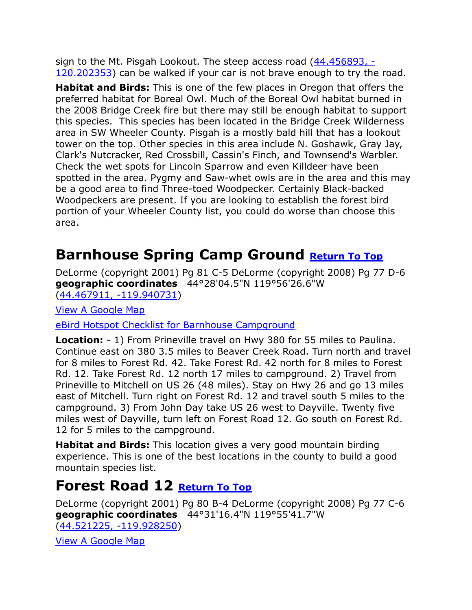sign to the Mt. Pisgah Lookout. The steep access road [\(44.456893, -](https://www.google.com/maps/place/44°27) [120.202353\)](https://www.google.com/maps/place/44°27) can be walked if your car is not brave enough to try the road.

**Habitat and Birds:** This is one of the few places in Oregon that offers the preferred habitat for Boreal Owl. Much of the Boreal Owl habitat burned in the 2008 Bridge Creek fire but there may still be enough habitat to support this species. This species has been located in the Bridge Creek Wilderness area in SW Wheeler County. Pisgah is a mostly bald hill that has a lookout tower on the top. Other species in this area include N. Goshawk, Gray Jay, Clark's Nutcracker, Red Crossbill, Cassin's Finch, and Townsend's Warbler. Check the wet spots for Lincoln Sparrow and even Killdeer have been spotted in the area. Pygmy and Saw-whet owls are in the area and this may be a good area to find Three-toed Woodpecker. Certainly Black-backed Woodpeckers are present. If you are looking to establish the forest bird portion of your Wheeler County list, you could do worse than choose this area.

## <span id="page-19-0"></span>**Barnhouse Spring Camp Ground [Return To Top](#page-0-0)**

DeLorme (copyright 2001) Pg 81 C-5 DeLorme (copyright 2008) Pg 77 D-6 **geographic coordinates** 44°28'04.5"N 119°56'26.6"W [\(44.467911, -119.940731\)](https://www.google.com/maps/place/44°28)

[View A Google Map](http://maps.google.com/maps/ms?hl=en&ie=UTF8&msa=0&msid=108036481085398338899.00046f93275498db63e70&ll=44.36706,-119.903412&spn=0.8433,2.108002&z=10)

[eBird Hotspot Checklist for Barnhouse Campground](http://ebird.org/ebird/hotspot/L2937252?yr=all&m=&rank=mrec)

**Location:** - 1) From Prineville travel on Hwy 380 for 55 miles to Paulina. Continue east on 380 3.5 miles to Beaver Creek Road. Turn north and travel for 8 miles to Forest Rd. 42. Take Forest Rd. 42 north for 8 miles to Forest Rd. 12. Take Forest Rd. 12 north 17 miles to campground. 2) Travel from Prineville to Mitchell on US 26 (48 miles). Stay on Hwy 26 and go 13 miles east of Mitchell. Turn right on Forest Rd. 12 and travel south 5 miles to the campground. 3) From John Day take US 26 west to Dayville. Twenty five miles west of Dayville, turn left on Forest Road 12. Go south on Forest Rd. 12 for 5 miles to the campground.

**Habitat and Birds:** This location gives a very good mountain birding experience. This is one of the best locations in the county to build a good mountain species list.

### <span id="page-19-1"></span>**Forest Road 12 [Return To Top](#page-0-0)**

DeLorme (copyright 2001) Pg 80 B-4 DeLorme (copyright 2008) Pg 77 C-6 **geographic coordinates** 44°31'16.4"N 119°55'41.7"W [\(44.521225, -119.928250\)](https://www.google.com/maps/place/44°31)

[View A Google Map](http://maps.google.com/maps/ms?hl=en&ie=UTF8&msa=0&msid=108036481085398338899.00046f93275498db63e70&ll=44.36706,-119.903412&spn=0.8433,2.108002&z=10)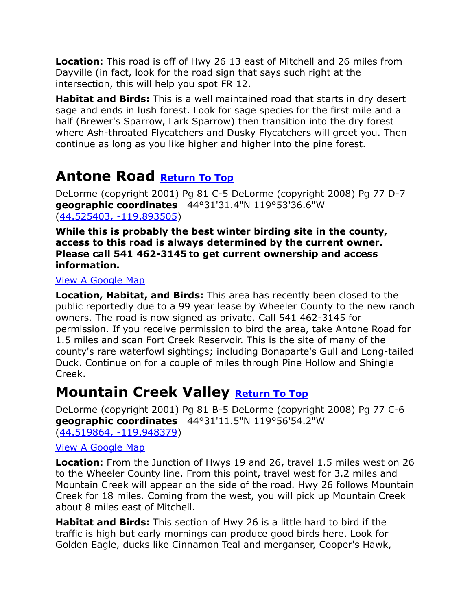**Location:** This road is off of Hwy 26 13 east of Mitchell and 26 miles from Dayville (in fact, look for the road sign that says such right at the intersection, this will help you spot FR 12.

**Habitat and Birds:** This is a well maintained road that starts in dry desert sage and ends in lush forest. Look for sage species for the first mile and a half (Brewer's Sparrow, Lark Sparrow) then transition into the dry forest where Ash-throated Flycatchers and Dusky Flycatchers will greet you. Then continue as long as you like higher and higher into the pine forest.

## <span id="page-20-0"></span>**Antone Road [Return To Top](#page-0-0)**

DeLorme (copyright 2001) Pg 81 C-5 DeLorme (copyright 2008) Pg 77 D-7 **geographic coordinates** 44°31'31.4"N 119°53'36.6"W [\(44.525403, -119.893505\)](https://www.google.com/maps/place/44°31)

**While this is probably the best winter birding site in the county, access to this road is always determined by the current owner. Please call 541 462-3145 to get current ownership and access information.** 

### [View A Google Map](http://maps.google.com/maps/ms?hl=en&ie=UTF8&msa=0&msid=108036481085398338899.00046f9318974e8f2261e&ll=44.504953,-119.810371&spn=0.21033,0.527&z=12)

**Location, Habitat, and Birds:** This area has recently been closed to the public reportedly due to a 99 year lease by Wheeler County to the new ranch owners. The road is now signed as private. Call 541 462-3145 for permission. If you receive permission to bird the area, take Antone Road for 1.5 miles and scan Fort Creek Reservoir. This is the site of many of the county's rare waterfowl sightings; including Bonaparte's Gull and Long-tailed Duck. Continue on for a couple of miles through Pine Hollow and Shingle Creek.

### <span id="page-20-1"></span>**Mountain Creek Valley [Return To Top](#page-0-0)**

DeLorme (copyright 2001) Pg 81 B-5 DeLorme (copyright 2008) Pg 77 C-6 **geographic coordinates** 44°31'11.5"N 119°56'54.2"W [\(44.519864, -119.948379\)](https://www.google.com/maps/place/44°31)

### [View A Google Map](http://maps.google.com/maps/ms?hl=en&doflg=ptm&ie=UTF8&msa=0&msid=108036481085398338899.00046fb86a2fe40a86b4c&ll=44.510707,-119.860153&spn=0.420616,1.054001&z=11)

**Location:** From the Junction of Hwys 19 and 26, travel 1.5 miles west on 26 to the Wheeler County line. From this point, travel west for 3.2 miles and Mountain Creek will appear on the side of the road. Hwy 26 follows Mountain Creek for 18 miles. Coming from the west, you will pick up Mountain Creek about 8 miles east of Mitchell.

**Habitat and Birds:** This section of Hwy 26 is a little hard to bird if the traffic is high but early mornings can produce good birds here. Look for Golden Eagle, ducks like Cinnamon Teal and merganser, Cooper's Hawk,